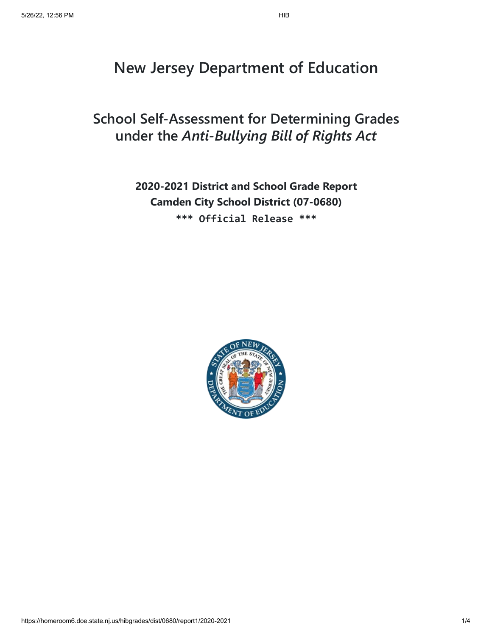# **New Jersey Department of Education**

## **School Self-Assessment for Determining Grades under the** *Anti-Bullying Bill of Rights Act*

## **2020-2021 District and School Grade Report Camden City School District (07-0680) \*\*\* Official Release \*\*\***

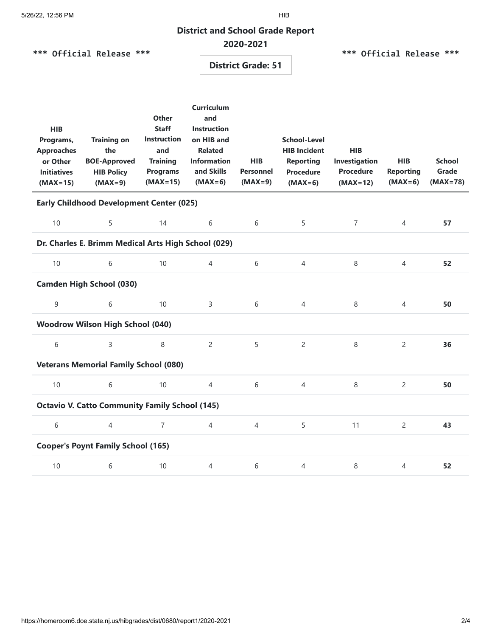#### **District and School Grade Report**

### **2020-2021**

**\*\*\* Official Release \*\*\***

#### **\*\*\* Official Release \*\*\***

**District Grade: 51**

| <b>HIB</b><br>Programs,<br><b>Approaches</b><br>or Other<br><b>Initiatives</b><br>$(MAX=15)$ | <b>Training on</b><br>the<br><b>BOE-Approved</b><br><b>HIB Policy</b><br>$(MAX=9)$ | <b>Other</b><br><b>Staff</b><br><b>Instruction</b><br>and<br><b>Training</b><br><b>Programs</b><br>$(MAX=15)$ | <b>Curriculum</b><br>and<br><b>Instruction</b><br>on HIB and<br><b>Related</b><br><b>Information</b><br>and Skills<br>$(MAX=6)$ | <b>HIB</b><br><b>Personnel</b><br>$(MAX=9)$ | <b>School-Level</b><br><b>HIB Incident</b><br><b>Reporting</b><br><b>Procedure</b><br>$(MAX=6)$ | <b>HIB</b><br>Investigation<br><b>Procedure</b><br>$(MAX=12)$ | <b>HIB</b><br><b>Reporting</b><br>$(MAX=6)$ | <b>School</b><br>Grade<br>$(MAX=78)$ |  |  |
|----------------------------------------------------------------------------------------------|------------------------------------------------------------------------------------|---------------------------------------------------------------------------------------------------------------|---------------------------------------------------------------------------------------------------------------------------------|---------------------------------------------|-------------------------------------------------------------------------------------------------|---------------------------------------------------------------|---------------------------------------------|--------------------------------------|--|--|
| <b>Early Childhood Development Center (025)</b>                                              |                                                                                    |                                                                                                               |                                                                                                                                 |                                             |                                                                                                 |                                                               |                                             |                                      |  |  |
| 10                                                                                           | 5                                                                                  | 14                                                                                                            | 6                                                                                                                               | 6                                           | 5                                                                                               | $\overline{7}$                                                | $\overline{4}$                              | 57                                   |  |  |
| Dr. Charles E. Brimm Medical Arts High School (029)                                          |                                                                                    |                                                                                                               |                                                                                                                                 |                                             |                                                                                                 |                                                               |                                             |                                      |  |  |
| 10                                                                                           | 6                                                                                  | 10                                                                                                            | $\overline{4}$                                                                                                                  | 6                                           | $\overline{4}$                                                                                  | 8                                                             | 4                                           | 52                                   |  |  |
| <b>Camden High School (030)</b>                                                              |                                                                                    |                                                                                                               |                                                                                                                                 |                                             |                                                                                                 |                                                               |                                             |                                      |  |  |
| 9                                                                                            | 6                                                                                  | 10                                                                                                            | 3                                                                                                                               | 6                                           | $\overline{4}$                                                                                  | 8                                                             | $\overline{4}$                              | 50                                   |  |  |
| <b>Woodrow Wilson High School (040)</b>                                                      |                                                                                    |                                                                                                               |                                                                                                                                 |                                             |                                                                                                 |                                                               |                                             |                                      |  |  |
| 6                                                                                            | $\overline{3}$                                                                     | 8                                                                                                             | $\overline{2}$                                                                                                                  | 5                                           | $\overline{2}$                                                                                  | 8                                                             | $\overline{2}$                              | 36                                   |  |  |
| <b>Veterans Memorial Family School (080)</b>                                                 |                                                                                    |                                                                                                               |                                                                                                                                 |                                             |                                                                                                 |                                                               |                                             |                                      |  |  |
| 10                                                                                           | 6                                                                                  | 10                                                                                                            | $\overline{4}$                                                                                                                  | 6                                           | $\overline{4}$                                                                                  | 8                                                             | 2                                           | 50                                   |  |  |
| <b>Octavio V. Catto Community Family School (145)</b>                                        |                                                                                    |                                                                                                               |                                                                                                                                 |                                             |                                                                                                 |                                                               |                                             |                                      |  |  |
| 6                                                                                            | $\overline{4}$                                                                     | $\overline{7}$                                                                                                | $\overline{4}$                                                                                                                  | $\overline{4}$                              | 5                                                                                               | 11                                                            | 2                                           | 43                                   |  |  |
| <b>Cooper's Poynt Family School (165)</b>                                                    |                                                                                    |                                                                                                               |                                                                                                                                 |                                             |                                                                                                 |                                                               |                                             |                                      |  |  |
| 10                                                                                           | 6                                                                                  | 10                                                                                                            | $\overline{4}$                                                                                                                  | 6                                           | $\overline{4}$                                                                                  | 8                                                             | $\overline{4}$                              | 52                                   |  |  |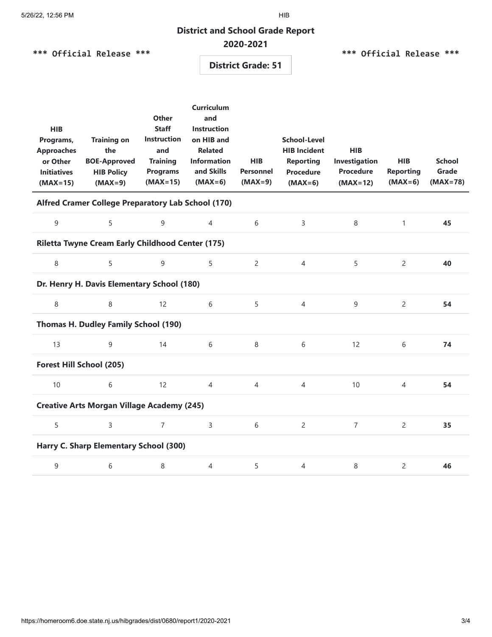#### **District and School Grade Report**

### **2020-2021**

**\*\*\* Official Release \*\*\***

#### **\*\*\* Official Release \*\*\***

#### **District Grade: 51**

| <b>HIB</b><br>Programs,<br><b>Approaches</b><br>or Other<br><b>Initiatives</b><br>$(MAX=15)$ | <b>Training on</b><br>the<br><b>BOE-Approved</b><br><b>HIB Policy</b><br>$(MAX=9)$ | <b>Other</b><br><b>Staff</b><br><b>Instruction</b><br>and<br><b>Training</b><br><b>Programs</b><br>$(MAX=15)$ | <b>Curriculum</b><br>and<br><b>Instruction</b><br>on HIB and<br><b>Related</b><br><b>Information</b><br>and Skills<br>$(MAX=6)$ | <b>HIB</b><br><b>Personnel</b><br>$(MAX=9)$ | <b>School-Level</b><br><b>HIB Incident</b><br><b>Reporting</b><br><b>Procedure</b><br>$(MAX=6)$ | <b>HIB</b><br>Investigation<br><b>Procedure</b><br>$(MAX=12)$ | <b>HIB</b><br><b>Reporting</b><br>$(MAX=6)$ | <b>School</b><br>Grade<br>$(MAX=78)$ |  |  |
|----------------------------------------------------------------------------------------------|------------------------------------------------------------------------------------|---------------------------------------------------------------------------------------------------------------|---------------------------------------------------------------------------------------------------------------------------------|---------------------------------------------|-------------------------------------------------------------------------------------------------|---------------------------------------------------------------|---------------------------------------------|--------------------------------------|--|--|
| Alfred Cramer College Preparatory Lab School (170)                                           |                                                                                    |                                                                                                               |                                                                                                                                 |                                             |                                                                                                 |                                                               |                                             |                                      |  |  |
| 9                                                                                            | 5                                                                                  | 9                                                                                                             | $\overline{4}$                                                                                                                  | 6                                           | 3                                                                                               | 8                                                             | $\mathbf{1}$                                | 45                                   |  |  |
| Riletta Twyne Cream Early Childhood Center (175)                                             |                                                                                    |                                                                                                               |                                                                                                                                 |                                             |                                                                                                 |                                                               |                                             |                                      |  |  |
| 8                                                                                            | 5                                                                                  | 9                                                                                                             | 5                                                                                                                               | $\overline{2}$                              | $\overline{4}$                                                                                  | 5                                                             | $\overline{c}$                              | 40                                   |  |  |
| Dr. Henry H. Davis Elementary School (180)                                                   |                                                                                    |                                                                                                               |                                                                                                                                 |                                             |                                                                                                 |                                                               |                                             |                                      |  |  |
| 8                                                                                            | 8                                                                                  | 12                                                                                                            | 6                                                                                                                               | 5                                           | $\overline{4}$                                                                                  | 9                                                             | $\overline{2}$                              | 54                                   |  |  |
| Thomas H. Dudley Family School (190)                                                         |                                                                                    |                                                                                                               |                                                                                                                                 |                                             |                                                                                                 |                                                               |                                             |                                      |  |  |
| 13                                                                                           | 9                                                                                  | 14                                                                                                            | 6                                                                                                                               | 8                                           | 6                                                                                               | 12                                                            | 6                                           | 74                                   |  |  |
| Forest Hill School (205)                                                                     |                                                                                    |                                                                                                               |                                                                                                                                 |                                             |                                                                                                 |                                                               |                                             |                                      |  |  |
| 10                                                                                           | 6                                                                                  | 12                                                                                                            | 4                                                                                                                               | $\overline{4}$                              | $\overline{4}$                                                                                  | 10                                                            | $\overline{4}$                              | 54                                   |  |  |
| <b>Creative Arts Morgan Village Academy (245)</b>                                            |                                                                                    |                                                                                                               |                                                                                                                                 |                                             |                                                                                                 |                                                               |                                             |                                      |  |  |
| 5                                                                                            | $\overline{3}$                                                                     | $\overline{7}$                                                                                                | 3                                                                                                                               | 6                                           | $\overline{2}$                                                                                  | $\overline{7}$                                                | $\overline{2}$                              | 35                                   |  |  |
| Harry C. Sharp Elementary School (300)                                                       |                                                                                    |                                                                                                               |                                                                                                                                 |                                             |                                                                                                 |                                                               |                                             |                                      |  |  |
| 9                                                                                            | 6                                                                                  | $\,8\,$                                                                                                       | $\overline{4}$                                                                                                                  | 5                                           | $\overline{4}$                                                                                  | 8                                                             | 2                                           | 46                                   |  |  |